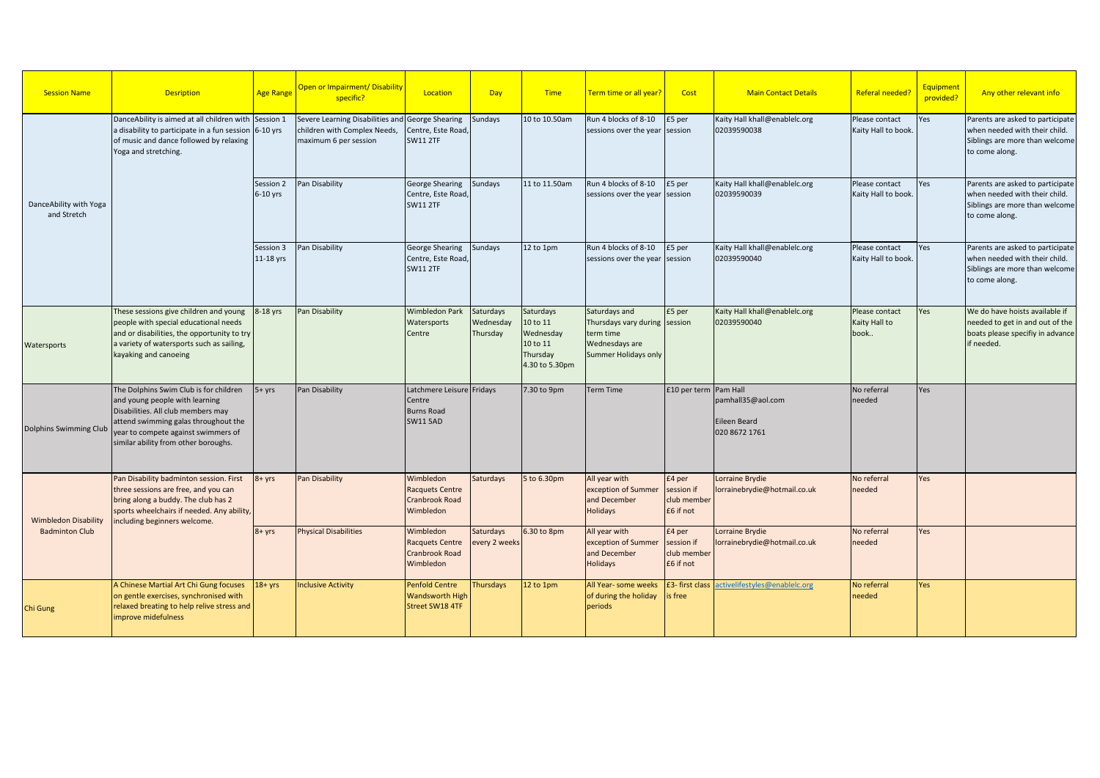| <b>Session Name</b>                                  | <b>Desription</b>                                                                                                                                                                                                                     | <b>Age Range</b>       | <b>Open or Impairment/ Disability</b><br>specific?                                                        | Location                                                                    | Day                                | <b>Time</b>                                                                  | Term time or all year?                                                                                | Cost                                             | <b>Main Contact Details</b>                        | Referal needed?                         | Equipment<br>provided? | Any other relevant info                                                                                               |
|------------------------------------------------------|---------------------------------------------------------------------------------------------------------------------------------------------------------------------------------------------------------------------------------------|------------------------|-----------------------------------------------------------------------------------------------------------|-----------------------------------------------------------------------------|------------------------------------|------------------------------------------------------------------------------|-------------------------------------------------------------------------------------------------------|--------------------------------------------------|----------------------------------------------------|-----------------------------------------|------------------------|-----------------------------------------------------------------------------------------------------------------------|
| DanceAbility with Yoga<br>and Stretch                | DanceAbility is aimed at all children with Session 1<br>a disability to participate in a fun session 6-10 yrs<br>of music and dance followed by relaxing<br>Yoga and stretching.                                                      |                        | Severe Learning Disabilities and George Shearing<br>children with Complex Needs,<br>maximum 6 per session | Centre, Este Road,<br><b>SW11 2TF</b>                                       | Sundays                            | 10 to 10.50am                                                                | Run 4 blocks of 8-10<br>sessions over the year                                                        | £5 per<br>session                                | Kaity Hall khall@enablelc.org<br>02039590038       | Please contact<br>Kaity Hall to book.   | Yes                    | Parents are asked to participate<br>when needed with their child.<br>Siblings are more than welcome<br>to come along. |
|                                                      |                                                                                                                                                                                                                                       | Session 2<br>6-10 yrs  | Pan Disability                                                                                            | <b>George Shearing</b><br>Centre, Este Road,<br><b>SW11 2TF</b>             | Sundays                            | 11 to 11.50am                                                                | Run 4 blocks of 8-10<br>sessions over the year session                                                | £5 per                                           | Kaity Hall khall@enablelc.org<br>02039590039       | Please contact<br>Kaity Hall to book.   | Yes                    | Parents are asked to participate<br>when needed with their child.<br>Siblings are more than welcome<br>to come along. |
|                                                      |                                                                                                                                                                                                                                       | Session 3<br>11-18 yrs | Pan Disability                                                                                            | <b>George Shearing</b><br>Centre, Este Road,<br><b>SW11 2TF</b>             | Sundays                            | 12 to 1pm                                                                    | Run 4 blocks of 8-10<br>sessions over the year session                                                | £5 per                                           | Kaity Hall khall@enablelc.org<br>02039590040       | Please contact<br>Kaity Hall to book.   | Yes                    | Parents are asked to participate<br>when needed with their child.<br>Siblings are more than welcome<br>to come along. |
| Watersports                                          | These sessions give children and young<br>people with special educational needs<br>and or disabilities, the opportunity to try<br>a variety of watersports such as sailing,<br>kayaking and canoeing                                  | 8-18 yrs               | Pan Disability                                                                                            | <b>Wimbledon Park</b><br>Watersports<br>Centre                              | Saturdays<br>Wednesday<br>Thursday | Saturdays<br>10 to 11<br>Wednesday<br>10 to 11<br>Thursday<br>4.30 to 5.30pm | Saturdays and<br>Thursdays vary during session<br>term time<br>Wednesdays are<br>Summer Holidays only | £5 per                                           | Kaity Hall khall@enablelc.org<br>02039590040       | Please contact<br>Kaity Hall to<br>book | Yes                    | We do have hoists available if<br>needed to get in and out of the<br>boats please specifiy in advance<br>if needed.   |
| Dolphins Swimming Club                               | The Dolphins Swim Club is for children<br>and young people with learning<br>Disabilities. All club members may<br>attend swimming galas throughout the<br>year to compete against swimmers of<br>similar ability from other boroughs. | $5 + yrs$              | Pan Disability                                                                                            | Latchmere Leisure Fridays<br>Centre<br><b>Burns Road</b><br><b>SW11 5AD</b> |                                    | 7.30 to 9pm                                                                  | <b>Term Time</b>                                                                                      | £10 per term   Pam Hall                          | pamhall35@aol.com<br>Eileen Beard<br>020 8672 1761 | No referral<br>needed                   | Yes                    |                                                                                                                       |
| <b>Wimbledon Disability</b><br><b>Badminton Club</b> | Pan Disability badminton session. First<br>three sessions are free, and you can<br>bring along a buddy. The club has 2<br>sports wheelchairs if needed. Any ability,<br>including beginners welcome.                                  | 8+ yrs                 | Pan Disability                                                                                            | Wimbledon<br><b>Racquets Centre</b><br>Cranbrook Road<br>Wimbledon          | <b>Saturdays</b>                   | 5 to 6.30pm                                                                  | All year with<br>exception of Summer<br>and December<br>Holidays                                      | £4 per<br>session if<br>club member<br>£6 if not | Lorraine Brydie<br>lorrainebrydie@hotmail.co.uk    | No referral<br>needed                   | Yes                    |                                                                                                                       |
|                                                      |                                                                                                                                                                                                                                       | $8 + yrs$              | <b>Physical Disabilities</b>                                                                              | Wimbledon<br><b>Racquets Centre</b><br>Cranbrook Road<br>Wimbledon          | Saturdays<br>every 2 weeks         | 6.30 to 8pm                                                                  | All year with<br>exception of Summer<br>and December<br>Holidays                                      | £4 per<br>session if<br>club member<br>£6 if not | Lorraine Brydie<br>lorrainebrydie@hotmail.co.uk    | No referral<br>needed                   | Yes                    |                                                                                                                       |
| Chi Gung                                             | A Chinese Martial Art Chi Gung focuses<br>on gentle exercises, synchronised with<br>relaxed breating to help relive stress and<br>improve midefulness                                                                                 | $18 + yrs$             | <b>Inclusive Activity</b>                                                                                 | <b>Penfold Centre</b><br><b>Wandsworth High</b><br>Street SW18 4TF          | Thursdays                          | 12 to 1pm                                                                    | All Year- some weeks<br>of during the holiday<br>periods                                              | is free                                          | £3- first class activelifestyles@enablelc.org      | No referral<br>needed                   | Yes                    |                                                                                                                       |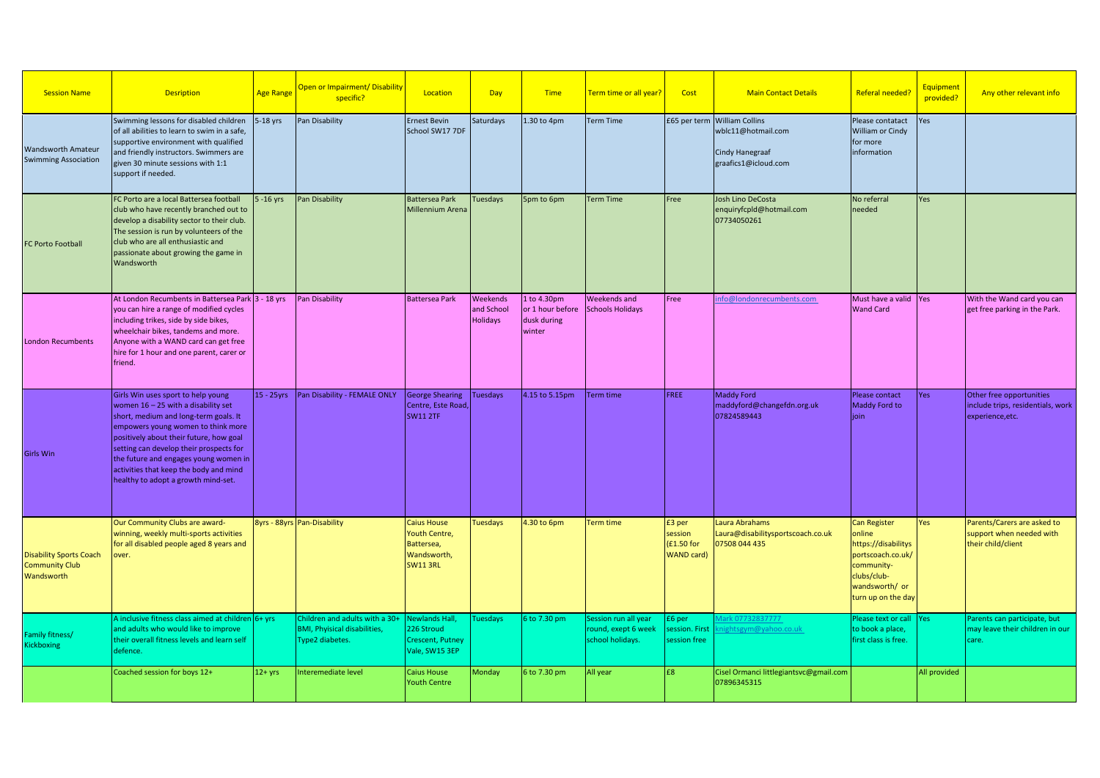| <b>Session Name</b>                                                   | <b>Desription</b>                                                                                                                                                                                                                                                                                                                                                          | <b>Age Range</b> | Open or Impairment/ Disability<br>specific?                                              | Location                                                                            | Day                                       | <b>Time</b>                                              | Term time or all year?                                          | Cost                                                 | <b>Main Contact Details</b>                                                                   | <b>Referal needed?</b>                                                                                                                         | Equipment<br>provided? | Any other relevant info                                                           |
|-----------------------------------------------------------------------|----------------------------------------------------------------------------------------------------------------------------------------------------------------------------------------------------------------------------------------------------------------------------------------------------------------------------------------------------------------------------|------------------|------------------------------------------------------------------------------------------|-------------------------------------------------------------------------------------|-------------------------------------------|----------------------------------------------------------|-----------------------------------------------------------------|------------------------------------------------------|-----------------------------------------------------------------------------------------------|------------------------------------------------------------------------------------------------------------------------------------------------|------------------------|-----------------------------------------------------------------------------------|
| <b>Wandsworth Amateur</b><br><b>Swimming Association</b>              | Swimming lessons for disabled children<br>of all abilities to learn to swim in a safe,<br>supportive environment with qualified<br>and friendly instructors. Swimmers are<br>given 30 minute sessions with 1:1<br>support if needed.                                                                                                                                       | $5-18$ yrs       | Pan Disability                                                                           | <b>Ernest Bevin</b><br>School SW17 7DF                                              | Saturdays                                 | 1.30 to 4pm                                              | <b>Term Time</b>                                                |                                                      | £65 per term William Collins<br>wblc11@hotmail.com<br>Cindy Hanegraaf<br>graafics1@icloud.com | Please contatact<br>William or Cindy<br>for more<br>information                                                                                | Yes                    |                                                                                   |
| FC Porto Football                                                     | FC Porto are a local Battersea football<br>club who have recently branched out to<br>develop a disability sector to their club.<br>The session is run by volunteers of the<br>club who are all enthusiastic and<br>passionate about growing the game in<br>Wandsworth                                                                                                      | $5 - 16$ yrs     | Pan Disability                                                                           | <b>Battersea Park</b><br>Millennium Arena                                           | Tuesdays                                  | 5pm to 6pm                                               | <b>Term Time</b>                                                | Free                                                 | Josh Lino DeCosta<br>enquiryfcpld@hotmail.com<br>07734050261                                  | No referral<br>needed                                                                                                                          | Yes                    |                                                                                   |
| <b>London Recumbents</b>                                              | At London Recumbents in Battersea Park 3 - 18 yrs<br>you can hire a range of modified cycles<br>including trikes, side by side bikes,<br>wheelchair bikes, tandems and more.<br>Anyone with a WAND card can get free<br>hire for 1 hour and one parent, carer or<br>friend.                                                                                                |                  | Pan Disability                                                                           | <b>Battersea Park</b>                                                               | Weekends<br>and School<br><b>Holidays</b> | 1 to 4.30pm<br>or 1 hour before<br>dusk during<br>winter | Weekends and<br>Schools Holidays                                | Free                                                 | nfo@londonrecumbents.com                                                                      | Must have a valid Yes<br><b>Wand Card</b>                                                                                                      |                        | With the Wand card you can<br>get free parking in the Park.                       |
| <b>Girls Win</b>                                                      | Girls Win uses sport to help young<br>women $16 - 25$ with a disability set<br>short, medium and long-term goals. It<br>empowers young women to think more<br>positively about their future, how goal<br>setting can develop their prospects for<br>the future and engages young women in<br>activities that keep the body and mind<br>healthy to adopt a growth mind-set. | 15 - 25yrs       | Pan Disability - FEMALE ONLY                                                             | <b>George Shearing</b><br>Centre, Este Road,<br><b>SW11 2TF</b>                     | Tuesdays                                  | 4.15 to 5.15pm                                           | <b>Term time</b>                                                | FREE                                                 | <b>Maddy Ford</b><br>maddyford@changefdn.org.uk<br>07824589443                                | Please contact<br>Maddy Ford to<br>ioin                                                                                                        | Yes                    | Other free opportunities<br>include trips, residentials, work<br>experience, etc. |
| <b>Disability Sports Coach</b><br><b>Community Club</b><br>Wandsworth | Our Community Clubs are award-<br>winning, weekly multi-sports activities<br>for all disabled people aged 8 years and<br>over.                                                                                                                                                                                                                                             |                  | 8yrs - 88yrs Pan-Disability                                                              | Caius House<br><b>Youth Centre,</b><br>Battersea,<br>Wandsworth,<br><b>SW11 3RL</b> | <b>Tuesdays</b>                           | 4.30 to 6pm                                              | Term time                                                       | £3 per<br>session<br>(£1.50 for<br><b>WAND card)</b> | Laura Abrahams<br>Laura@disabilitysportscoach.co.uk<br>07508 044 435                          | <b>Can Register</b><br>online<br>https://disabilitys<br>portscoach.co.uk/<br>community-<br>clubs/club-<br>wandsworth/ or<br>turn up on the day | Yes                    | Parents/Carers are asked to<br>support when needed with<br>their child/client     |
| Family fitness/<br>Kickboxing                                         | A inclusive fitness class aimed at children $6+$ yrs<br>and adults who would like to improve<br>their overall fitness levels and learn self<br>defence.                                                                                                                                                                                                                    |                  | Children and adults with a 30+<br><b>BMI, Phyisical disabilities,</b><br>Type2 diabetes. | Newlands Hall.<br>226 Stroud<br>Crescent, Putney<br>Vale, SW15 3EP                  | <b>Tuesdays</b>                           | 6 to 7.30 pm                                             | Session run all year<br>round, exept 6 week<br>school holidays. | £6 per<br>session. First<br>session free             | lark 07732837777<br>ightsgym@yahoo.co.uk                                                      | Please text or call   Yes<br>to book a place,<br>first class is free.                                                                          |                        | Parents can participate, but<br>may leave their children in our<br>care.          |
|                                                                       | Coached session for boys 12+                                                                                                                                                                                                                                                                                                                                               | $12+yrs$         | Interemediate level                                                                      | Caius House<br><b>Youth Centre</b>                                                  | Monday                                    | 6 to 7.30 pm                                             | All year                                                        | £8                                                   | Cisel Ormanci littlegiantsvc@gmail.com<br>07896345315                                         |                                                                                                                                                | All provided           |                                                                                   |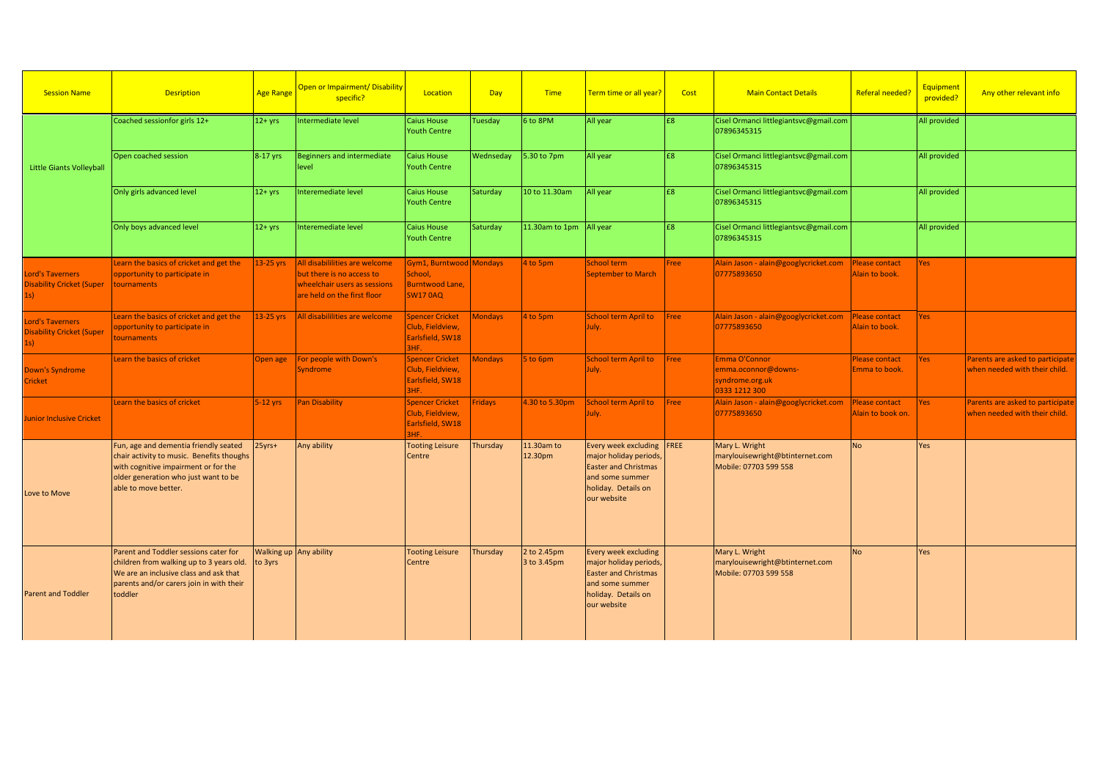| <b>Session Name</b>                                               | <b>Desription</b>                                                                                                                                                                          | <b>Age Range</b> | <b>Open or Impairment/ Disability</b><br>specific?                                                                         | Location                                                                 | <b>Day</b> | <b>Time</b>                | Term time or all year?                                                                                                                      | Cost           | <b>Main Contact Details</b>                                                | Referal needed?                         | <b>Equipment</b><br>provided? | Any other relevant info                                           |
|-------------------------------------------------------------------|--------------------------------------------------------------------------------------------------------------------------------------------------------------------------------------------|------------------|----------------------------------------------------------------------------------------------------------------------------|--------------------------------------------------------------------------|------------|----------------------------|---------------------------------------------------------------------------------------------------------------------------------------------|----------------|----------------------------------------------------------------------------|-----------------------------------------|-------------------------------|-------------------------------------------------------------------|
|                                                                   | Coached sessionfor girls 12+                                                                                                                                                               | $12+yrs$         | Intermediate level                                                                                                         | <b>Caius House</b><br><b>Youth Centre</b>                                | Tuesday    | 6 to 8PM                   | All year                                                                                                                                    | E8             | Cisel Ormanci littlegiantsvc@gmail.com<br>07896345315                      |                                         | All provided                  |                                                                   |
| <b>Little Giants Volleyball</b>                                   | Open coached session                                                                                                                                                                       | 8-17 yrs         | <b>Beginners and intermediate</b><br>level                                                                                 | Caius House<br><b>Youth Centre</b>                                       | Wednseday  | 5.30 to 7pm                | All year                                                                                                                                    | £8             | Cisel Ormanci littlegiantsvc@gmail.com<br>07896345315                      |                                         | All provided                  |                                                                   |
|                                                                   | Only girls advanced level                                                                                                                                                                  | $12+vrs$         | Interemediate level                                                                                                        | Caius House<br><b>Youth Centre</b>                                       | Saturday   | 10 to 11.30am              | All year                                                                                                                                    | £8             | Cisel Ormanci littlegiantsvc@gmail.com<br>07896345315                      |                                         | All provided                  |                                                                   |
|                                                                   | Only boys advanced level                                                                                                                                                                   | $12+yrs$         | Interemediate level                                                                                                        | <b>Caius House</b><br><b>Youth Centre</b>                                | Saturday   | 11.30am to 1pm All year    |                                                                                                                                             | E <sub>8</sub> | Cisel Ormanci littlegiantsvc@gmail.com<br>07896345315                      |                                         | All provided                  |                                                                   |
| <b>Lord's Taverners</b><br><b>Disability Cricket (Super</b>       | Learn the basics of cricket and get the<br>opportunity to participate in<br>tournaments                                                                                                    | $13-25$ yrs      | All disabililities are welcome<br>but there is no access to<br>wheelchair users as sessions<br>are held on the first floor | Gym1, Burntwood Mondays<br>School.<br>Burntwood Lane,<br><b>SW17 0AQ</b> |            | 4 to 5pm                   | School term<br><b>September to March</b>                                                                                                    | Free           | Alain Jason - alain@googlycricket.com<br>07775893650                       | Please contact<br>Alain to book.        | Yes                           |                                                                   |
| <b>Lord's Taverners</b><br><b>Disability Cricket (Super</b><br>1s | Learn the basics of cricket and get the<br>opportunity to participate in<br>tournaments                                                                                                    | $13-25$ yrs      | All disabililities are welcome                                                                                             | <b>Spencer Cricket</b><br>Club, Fieldview,<br>Earlsfield, SW18<br>3HF.   | Mondays    | 4 to 5pm                   | School term April to<br>July.                                                                                                               | Free           | Alain Jason - alain@googlycricket.com<br>07775893650                       | <b>Please contact</b><br>Alain to book. | <b>Yes</b>                    |                                                                   |
| <b>Down's Syndrome</b><br>Cricket                                 | Learn the basics of cricket                                                                                                                                                                | Open age         | For people with Down's<br><b>Syndrome</b>                                                                                  | <b>Spencer Cricket</b><br>Club, Fieldview,<br>Earlsfield, SW18<br>3HF.   | Mondays    | $5$ to 6pm                 | <b>School term April to</b><br>July.                                                                                                        | Free           | Emma O'Connor<br>emma.oconnor@downs-<br>syndrome.org.uk<br>0333 1212 300   | <b>Please contact</b><br>Emma to book.  | Yes                           | Parents are asked to participate<br>when needed with their child. |
| Junior Inclusive Cricket                                          | Learn the basics of cricket                                                                                                                                                                | $5-12$ yrs       | <b>Pan Disability</b>                                                                                                      | <b>Spencer Cricket</b><br>Club, Fieldview,<br>Earlsfield, SW18<br>3HF.   | Fridays    | 4.30 to 5.30pm             | School term April to<br>July.                                                                                                               | Free           | Alain Jason - alain@googlycricket.com<br>07775893650                       | Please contact<br>Alain to book on.     | Yes                           | Parents are asked to participate<br>when needed with their child. |
| Love to Move                                                      | Fun, age and dementia friendly seated<br>chair activity to music. Benefits thoughs<br>with cognitive impairment or for the<br>older generation who just want to be<br>able to move better. | 25yrs+           | Any ability                                                                                                                | <b>Tooting Leisure</b><br>Centre                                         | Thursday   | 11.30am to<br>12.30pm      | Every week excluding FREE<br>major holiday periods,<br><b>Easter and Christmas</b><br>and some summer<br>holiday. Details on<br>our website |                | Mary L. Wright<br>marylouisewright@btinternet.com<br>Mobile: 07703 599 558 | <b>No</b>                               | Yes                           |                                                                   |
| <b>Parent and Toddler</b>                                         | Parent and Toddler sessions cater for<br>children from walking up to 3 years old.<br>We are an inclusive class and ask that<br>parents and/or carers join in with their<br>toddler         | to 3yrs          | Walking up Any ability                                                                                                     | <b>Tooting Leisure</b><br>Centre                                         | Thursday   | 2 to 2.45pm<br>3 to 3.45pm | Every week excluding<br>major holiday periods,<br><b>Easter and Christmas</b><br>and some summer<br>holiday. Details on<br>our website      |                | Mary L. Wright<br>marylouisewright@btinternet.com<br>Mobile: 07703 599 558 | <b>No</b>                               | Yes                           |                                                                   |